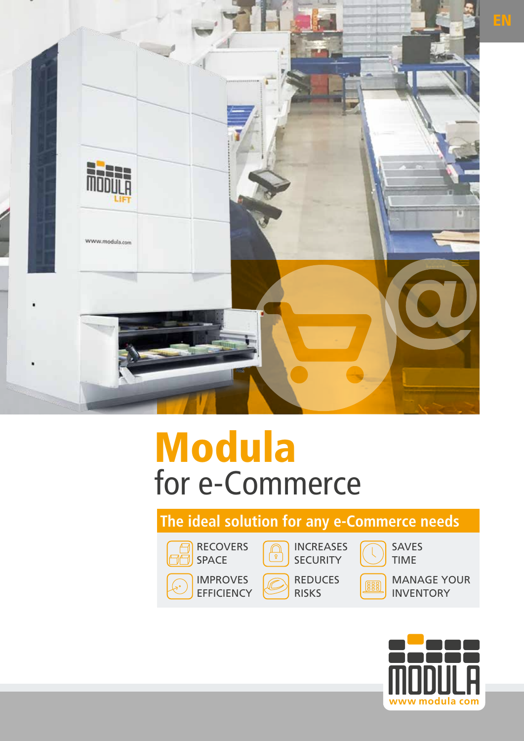

# Modula for e-Commerce

**The ideal solution for any e-Commerce needs** 



IMPROVES **EFFICIENCY** 

**INCREASES**  $\overline{\Omega}$ **SECURITY** 



SAVES TIME

**REDUCES** RISKS

MANAGE YOUR INVENTORY

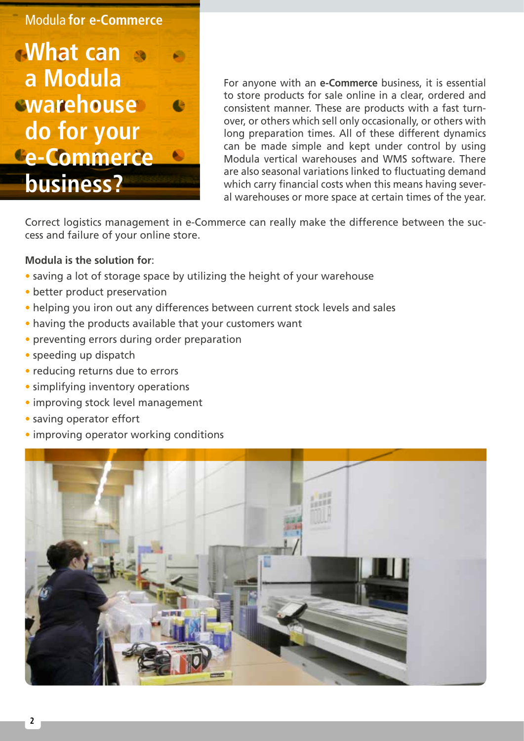

For anyone with an **e-Commerce** business, it is essential to store products for sale online in a clear, ordered and consistent manner. These are products with a fast turnover, or others which sell only occasionally, or others with long preparation times. All of these different dynamics can be made simple and kept under control by using Modula vertical warehouses and WMS software. There are also seasonal variations linked to fluctuating demand which carry financial costs when this means having several warehouses or more space at certain times of the year.

Correct logistics management in e-Commerce can really make the difference between the success and failure of your online store.

#### **Modula is the solution for**:

- saving a lot of storage space by utilizing the height of your warehouse
- better product preservation
- helping you iron out any differences between current stock levels and sales
- having the products available that your customers want
- preventing errors during order preparation
- speeding up dispatch
- reducing returns due to errors
- simplifying inventory operations
- improving stock level management
- saving operator effort
- improving operator working conditions

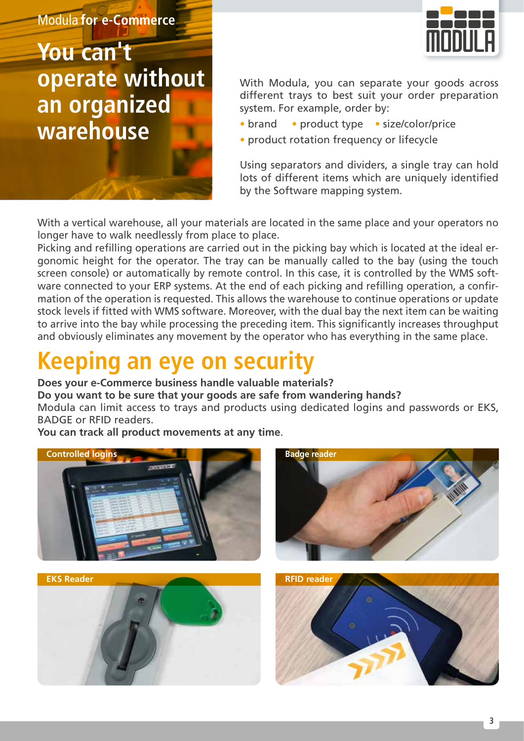#### Modula **for e-Commerce**

**You can't operate without an organized warehouse**



With Modula, you can separate your goods across different trays to best suit your order preparation system. For example, order by:

- brand product type size/color/price
- product rotation frequency or lifecycle

Using separators and dividers, a single tray can hold lots of different items which are uniquely identified by the Software mapping system.

With a vertical warehouse, all your materials are located in the same place and your operators no longer have to walk needlessly from place to place.

Picking and refilling operations are carried out in the picking bay which is located at the ideal ergonomic height for the operator. The tray can be manually called to the bay (using the touch screen console) or automatically by remote control. In this case, it is controlled by the WMS software connected to your ERP systems. At the end of each picking and refilling operation, a confirmation of the operation is requested. This allows the warehouse to continue operations or update stock levels if fitted with WMS software. Moreover, with the dual bay the next item can be waiting to arrive into the bay while processing the preceding item. This significantly increases throughput and obviously eliminates any movement by the operator who has everything in the same place.

# **Keeping an eye on security**

#### **Does your e-Commerce business handle valuable materials?**

**Do you want to be sure that your goods are safe from wandering hands?**

Modula can limit access to trays and products using dedicated logins and passwords or EKS, BADGE or RFID readers.

**You can track all product movements at any time**.

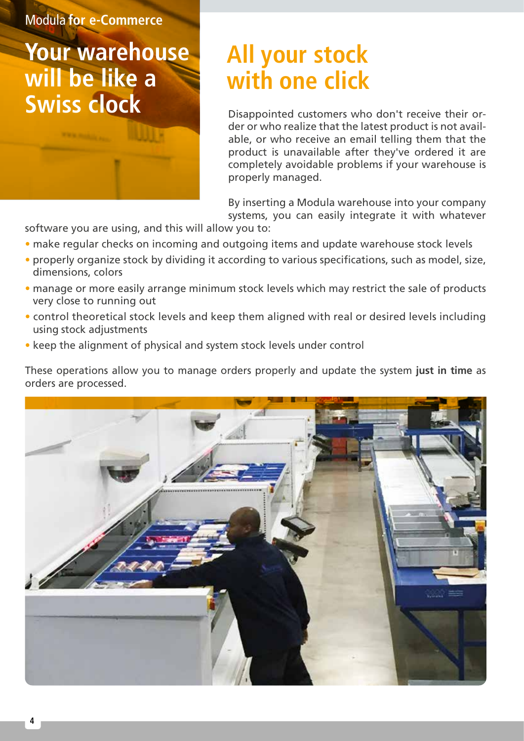#### Modula **for e-Commerce**

### **Your warehouse will be like a Swiss clock**

# **All your stock with one click**

Disappointed customers who don't receive their order or who realize that the latest product is not available, or who receive an email telling them that the product is unavailable after they've ordered it are completely avoidable problems if your warehouse is properly managed.

By inserting a Modula warehouse into your company systems, you can easily integrate it with whatever

software you are using, and this will allow you to:

- make regular checks on incoming and outgoing items and update warehouse stock levels
- properly organize stock by dividing it according to various specifications, such as model, size, dimensions, colors
- manage or more easily arrange minimum stock levels which may restrict the sale of products very close to running out
- control theoretical stock levels and keep them aligned with real or desired levels including using stock adjustments
- keep the alignment of physical and system stock levels under control

These operations allow you to manage orders properly and update the system **just in time** as orders are processed.

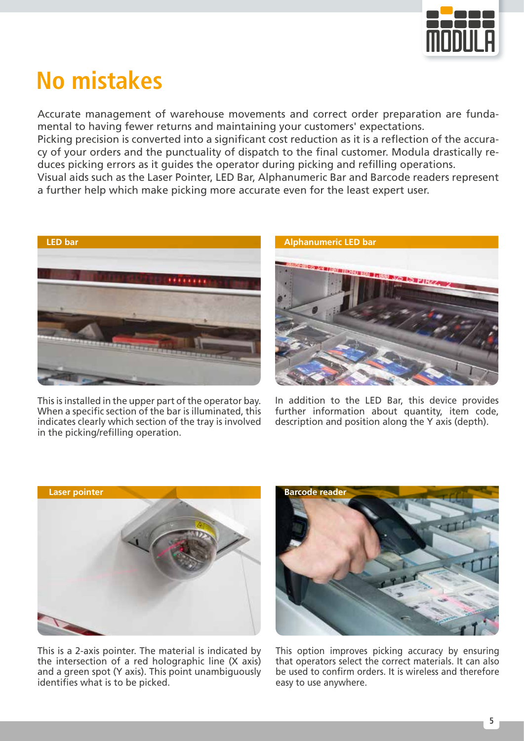

# **No mistakes**

Accurate management of warehouse movements and correct order preparation are fundamental to having fewer returns and maintaining your customers' expectations.

Picking precision is converted into a significant cost reduction as it is a reflection of the accuracy of your orders and the punctuality of dispatch to the final customer. Modula drastically reduces picking errors as it guides the operator during picking and refilling operations.

Visual aids such as the Laser Pointer, LED Bar, Alphanumeric Bar and Barcode readers represent a further help which make picking more accurate even for the least expert user.



This is installed in the upper part of the operator bay. When a specific section of the bar is illuminated, this indicates clearly which section of the tray is involved in the picking/refilling operation.



In addition to the LED Bar, this device provides further information about quantity, item code, description and position along the Y axis (depth).



This is a 2-axis pointer. The material is indicated by the intersection of a red holographic line (X axis) and a green spot (Y axis). This point unambiguously identifies what is to be picked.



This option improves picking accuracy by ensuring that operators select the correct materials. It can also be used to confirm orders. It is wireless and therefore easy to use anywhere.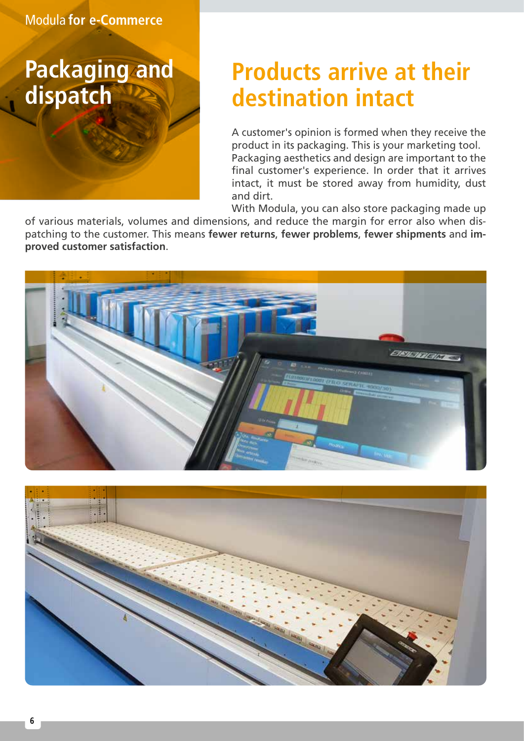#### Modula **for e-Commerce**

# **Packaging and dispatch**

# **Products arrive at their destination intact**

A customer's opinion is formed when they receive the product in its packaging. This is your marketing tool. Packaging aesthetics and design are important to the final customer's experience. In order that it arrives intact, it must be stored away from humidity, dust and dirt.

With Modula, you can also store packaging made up

of various materials, volumes and dimensions, and reduce the margin for error also when dispatching to the customer. This means **fewer returns**, **fewer problems**, **fewer shipments** and **improved customer satisfaction**.



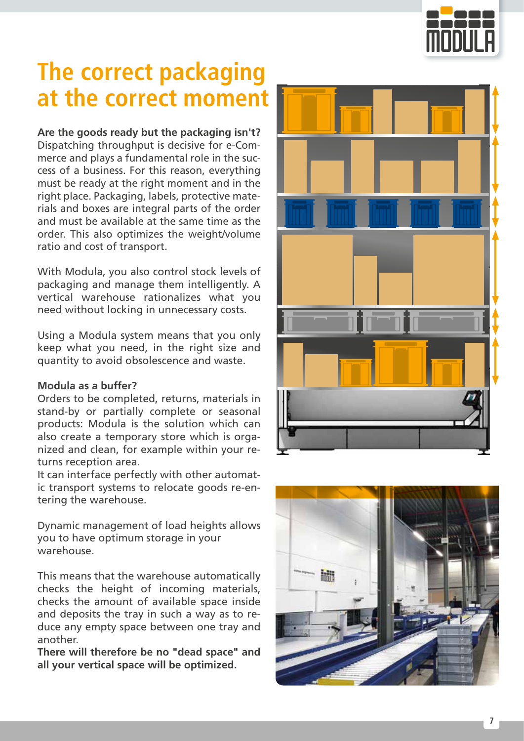

### **The correct packaging at the correct moment**

**Are the goods ready but the packaging isn't?** Dispatching throughput is decisive for e-Com merce and plays a fundamental role in the suc cess of a business. For this reason, everything must be ready at the right moment and in the right place. Packaging, labels, protective mate rials and boxes are integral parts of the order and must be available at the same time as the order. This also optimizes the weight/volume ratio and cost of transport.

With Modula, you also control stock levels of packaging and manage them intelligently. A vertical warehouse rationalizes what you need without locking in unnecessary costs.

Using a Modula system means that you only keep what you need, in the right size and quantity to avoid obsolescence and waste.

#### **Modula as a buffer?**

Orders to be completed, returns, materials in stand-by or partially complete or seasonal products: Modula is the solution which can also create a temporary store which is orga nized and clean, for example within your re turns reception area.

It can interface perfectly with other automat ic transport systems to relocate goods re-en tering the warehouse.

Dynamic management of load heights allows you to have optimum storage in your warehouse.

This means that the warehouse automatically checks the height of incoming materials, checks the amount of available space inside and deposits the tray in such a way as to re duce any empty space between one tray and another.

**There will therefore be no "dead space" and all your vertical space will be optimized.**